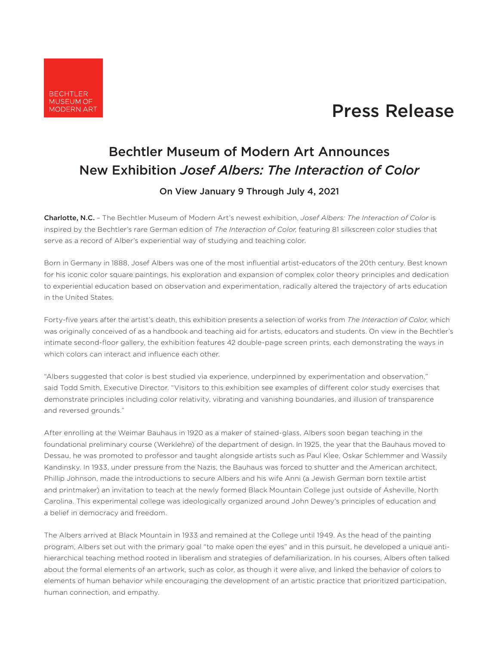

## Press Release

## Bechtler Museum of Modern Art Announces New Exhibition *Josef Albers: The Interaction of Color*

On View January 9 Through July 4, 2021

Charlotte, N.C. – The Bechtler Museum of Modern Art's newest exhibition, *Josef Albers: The Interaction of Color* is inspired by the Bechtler's rare German edition of *The Interaction of Color*, featuring 81 silkscreen color studies that serve as a record of Alber's experiential way of studying and teaching color.

Born in Germany in 1888, Josef Albers was one of the most influential artist-educators of the 20th century. Best known for his iconic color square paintings, his exploration and expansion of complex color theory principles and dedication to experiential education based on observation and experimentation, radically altered the trajectory of arts education in the United States.

Forty-five years after the artist's death, this exhibition presents a selection of works from *The Interaction of Color*, which was originally conceived of as a handbook and teaching aid for artists, educators and students. On view in the Bechtler's intimate second-floor gallery, the exhibition features 42 double-page screen prints, each demonstrating the ways in which colors can interact and influence each other.

"Albers suggested that color is best studied via experience, underpinned by experimentation and observation," said Todd Smith, Executive Director. "Visitors to this exhibition see examples of different color study exercises that demonstrate principles including color relativity, vibrating and vanishing boundaries, and illusion of transparence and reversed grounds."

After enrolling at the Weimar Bauhaus in 1920 as a maker of stained-glass, Albers soon began teaching in the foundational preliminary course (Werklehre) of the department of design. In 1925, the year that the Bauhaus moved to Dessau, he was promoted to professor and taught alongside artists such as Paul Klee, Oskar Schlemmer and Wassily Kandinsky. In 1933, under pressure from the Nazis, the Bauhaus was forced to shutter and the American architect, Phillip Johnson, made the introductions to secure Albers and his wife Anni (a Jewish German born textile artist and printmaker) an invitation to teach at the newly formed Black Mountain College just outside of Asheville, North Carolina. This experimental college was ideologically organized around John Dewey's principles of education and a belief in democracy and freedom.

The Albers arrived at Black Mountain in 1933 and remained at the College until 1949. As the head of the painting program, Albers set out with the primary goal "to make open the eyes" and in this pursuit, he developed a unique antihierarchical teaching method rooted in liberalism and strategies of defamiliarization. In his courses, Albers often talked about the formal elements of an artwork, such as color, as though it were alive, and linked the behavior of colors to elements of human behavior while encouraging the development of an artistic practice that prioritized participation, human connection, and empathy.